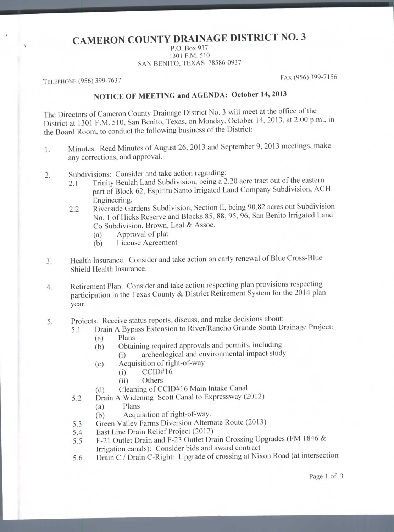## **CAMERON COUNTY DRAINAGE DISTRICT NO. 3**

P.O. Box 937 1301 P.M. 510 SAN BENITO, TEXAS 78586-0937

TELEPHONE (956) 399-7637 FAX (956) 399-7156

## **NOTICE OF MEETING and AGENDA: October 14,** 2013

The Directors of Cameron County Drainage District No. 3 will meet at the office of the District at 1301 P.M. 510, San Benito, Texas, on Monday, October 14, 2013, at 2:00 p.m., in the Board Room, to conduct the following business of the District:

- 1. Minutes. Read Minutes of August 26, 2013 and September 9, 2013 meetings, make any corrections, and approval.
- 2. Subdivisions: Consider and take action regarding:
	- 2.1 Trinity Beulah Land Subdivision, being a 2.20 acre tract out of the eastern part of Block 62, Espiritu Santo Irrigated Land Company Subdivision, ACH Engineering.
	- 2.2 Riverside Gardens Subdivision, Section II, being 90.82 acres out Subdivision No. 1 of Hicks Reserve and Blocks 85, 88, 95, 96, San Benito Irrigated Land Co Subdivision, Brown, Leal & Assoc.
		- (a) Approval of plat
		- (b) License Agreement
- 3. Health Insurance. Consider and take action on early renewal of Blue Cross-Blue Shield Health Insurance.
- 4. Retirement Plan. Consider and take action respecting plan provisions respecting participation in the Texas County & District Retirement System for the 2014 plan year.
- 5. Projects. Receive status reports, discuss, and make decisions about:
	- 5.1 Drain A Bypass Extension to River/Rancho Grande South Drainage Project: (a) Plans
		- (b) Obtaining required approvals and permits, including
			- (i) archeological and environmental impact study
		- (c) Acquisition of right-of-way
			- (i) CCID#16
			- (ii) Others
		- (d) Cleaning of CCID#16 Main Intake Canal
		- 5.2 Drain A Widening-Scott Canal to Expressway (2012)
			- (a) Plans
				- (b) Acquisition of right-of-way.
		- 5.3 Green Valley Farms Diversion Alternate Route (2013)
		- 5.4 East Line Drain Relief Project (2012)
		- 5.5 F-21 Outlet Drain and F-23 Outlet Drain Crossing Upgrades (FM 1846 & Irrigation canals): Consider bids and award contract
		- 5.6 Drain C / Drain C-Right: Upgrade of crossing at Nixon Road (at intersection

Page 1 of 3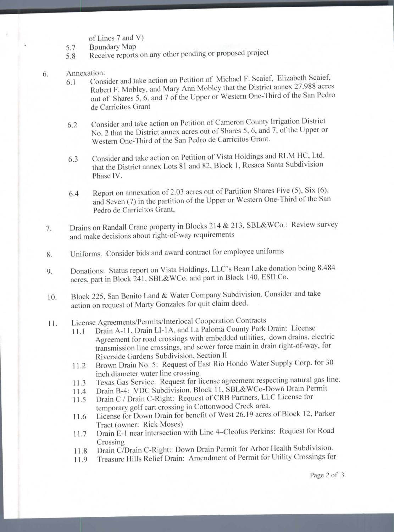- of Lines 7 and V)
- 5.7 Boundary Map
- 5.8 Receive reports on any other pending or proposed project
- Annexation: 6.
	- 6.1 Consider and take action on Petition of Michael F. Scaief, Elizabeth Scaief, Robert F. Mobley, and Mary Ann Mobley that the District annex 27.988 acres out of Shares 5, 6, and 7 of the Upper or Western One-Third of the San Pedro de Carricitos Grant
	- 6.2 Consider and take action on Petition of Cameron County Irrigation District No. 2 that the District annex acres out of Shares 5, 6, and 7, of the Upper or Western One-Third of the San Pedro de Carricitos Grant.
	- 6.3 Consider and lake action on Petition of Vista Holdings and RLM HC, Ltd. that the District annex Lots 81 and 82. Block 1, Resaca Santa Subdivision Phase IV.
	- 6.4 Report on annexation of 2.03 acres out of Partition Shares Five (5), Six (6). and Seven (7) in the partition of the Upper or Western One-Third of the San Pedro de Carricitos Grant,
- 7. Drains on Randall Crane property in Blocks 214 & 213, SBL&WCo.: Review survey and make decisions about right-of-way requirements
- 8. Uniforms. Consider bids and award contract for employee uniforms
- 9. Donations: Status report on Vista Holdings, LLC's Bean Lake donation being 8.484 acres, part in Block 241. SBL&WCo. and part in Block 140, ESlLCo.
- 10. Block 225, San Benito Land & Water Company Subdivision. Consider and take action on request of Marty Gonzales for quit claim deed.
- 11. License Agreements/Permils/lnterlocal Cooperation Contracts
	- 11.1 Drain A-11, Drain LI-1A, and La Paloma County Park Drain: License Agreement for road crossings with embedded utilities, down drains, electric transmission line crossings, and sewer force main in drain right-of-way, for Riverside Gardens Subdivision, Section II
	- 11.2 Brown Drain No. 5: Request of East Rio Hondo Water Supply Corp. for 30 inch diameter water line crossing
	- 11.3 Texas Gas Service. Request for license agreement respecting natural gas line.
	- 11.4 Drain B-4: VDC Subdivision, Block 11. SBL&WCo-Down Drain Permit
	- 11.5 Drain C / Drain C-Right: Request of CRB Partners. LLC License for temporary golf cart crossing in Cottonwood Creek area.
	- 11.6 License for Down Drain for benefit of West 26.19 acres of Block 12, Parker Tract (owner: Rick Moses)
	- 11.7 Drain E-l near intersection with Line 4-Cleofus Perkins: Request for Road Crossing
	- 11.8 Drain C/Drain C-Right: Down Drain Permit for Arbor Health Subdivision.
	- 11.9 Treasure Hills Relief Drain: Amendment of Permit for Utility Crossings for